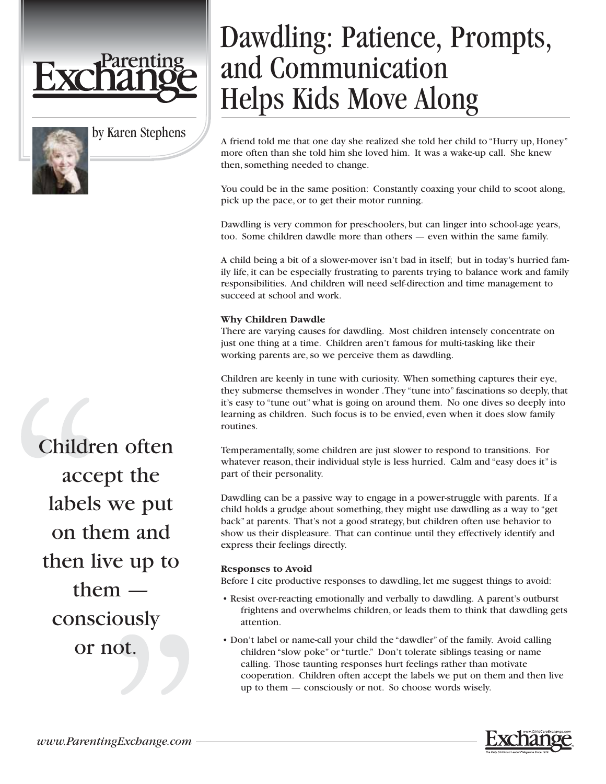

by Karen Stephens

# Dawdling: Patience, Prompts, and Communication Helps Kids Move Along

A friend told me that one day she realized she told her child to "Hurry up, Honey" more often than she told him she loved him. It was a wake-up call. She knew then, something needed to change.

You could be in the same position: Constantly coaxing your child to scoot along, pick up the pace, or to get their motor running.

Dawdling is very common for preschoolers, but can linger into school-age years, too. Some children dawdle more than others — even within the same family.

A child being a bit of a slower-mover isn't bad in itself; but in today's hurried family life, it can be especially frustrating to parents trying to balance work and family responsibilities. And children will need self-direction and time management to succeed at school and work.

### **Why Children Dawdle**

There are varying causes for dawdling. Most children intensely concentrate on just one thing at a time. Children aren't famous for multi-tasking like their working parents are, so we perceive them as dawdling.

Children are keenly in tune with curiosity. When something captures their eye, they submerse themselves in wonder .They "tune into" fascinations so deeply, that it's easy to "tune out" what is going on around them. No one dives so deeply into learning as children. Such focus is to be envied, even when it does slow family routines.

Temperamentally, some children are just slower to respond to transitions. For whatever reason, their individual style is less hurried. Calm and "easy does it" is part of their personality.

Dawdling can be a passive way to engage in a power-struggle with parents. If a child holds a grudge about something, they might use dawdling as a way to "get back" at parents. That's not a good strategy, but children often use behavior to show us their displeasure. That can continue until they effectively identify and express their feelings directly.

### **Responses to Avoid**

Before I cite productive responses to dawdling, let me suggest things to avoid:

- Resist over-reacting emotionally and verbally to dawdling. A parent's outburst frightens and overwhelms children, or leads them to think that dawdling gets attention.
- Don't label or name-call your child the "dawdler" of the family. Avoid calling children "slow poke" or "turtle." Don't tolerate siblings teasing or name calling. Those taunting responses hurt feelings rather than motivate cooperation. Children often accept the labels we put on them and then live up to them — consciously or not. So choose words wisely.



Children often accept the labels we put on them and then live up to them consciously or not.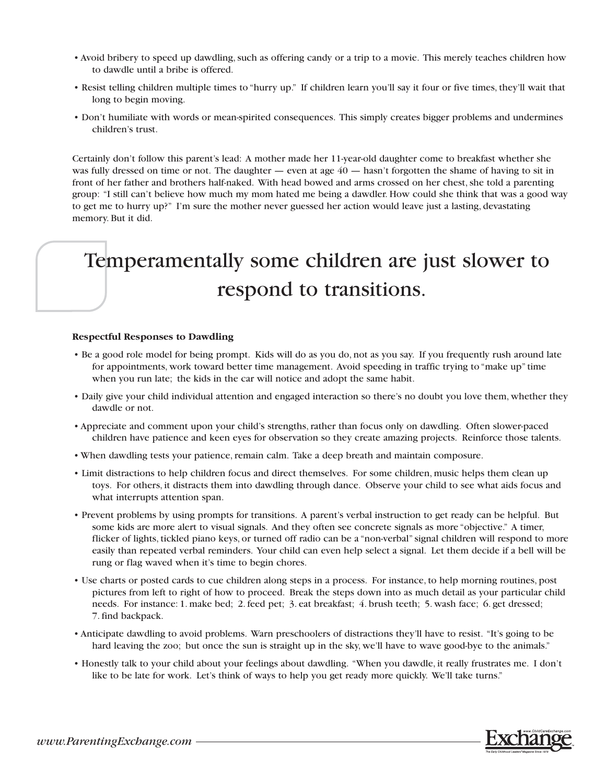- Avoid bribery to speed up dawdling, such as offering candy or a trip to a movie. This merely teaches children how to dawdle until a bribe is offered.
- Resist telling children multiple times to "hurry up." If children learn you'll say it four or five times, they'll wait that long to begin moving.
- Don't humiliate with words or mean-spirited consequences. This simply creates bigger problems and undermines children's trust.

Certainly don't follow this parent's lead: A mother made her 11-year-old daughter come to breakfast whether she was fully dressed on time or not. The daughter — even at age  $40$  — hasn't forgotten the shame of having to sit in front of her father and brothers half-naked. With head bowed and arms crossed on her chest, she told a parenting group: "I still can't believe how much my mom hated me being a dawdler. How could she think that was a good way to get me to hurry up?" I'm sure the mother never guessed her action would leave just a lasting, devastating memory. But it did.

## Temperamentally some children are just slower to respond to transitions.

#### **Respectful Responses to Dawdling**

- Be a good role model for being prompt. Kids will do as you do, not as you say. If you frequently rush around late for appointments, work toward better time management. Avoid speeding in traffic trying to "make up" time when you run late; the kids in the car will notice and adopt the same habit.
- Daily give your child individual attention and engaged interaction so there's no doubt you love them, whether they dawdle or not.
- Appreciate and comment upon your child's strengths, rather than focus only on dawdling. Often slower-paced children have patience and keen eyes for observation so they create amazing projects. Reinforce those talents.
- When dawdling tests your patience, remain calm. Take a deep breath and maintain composure.
- Limit distractions to help children focus and direct themselves. For some children, music helps them clean up toys. For others, it distracts them into dawdling through dance. Observe your child to see what aids focus and what interrupts attention span.
- Prevent problems by using prompts for transitions. A parent's verbal instruction to get ready can be helpful. But some kids are more alert to visual signals. And they often see concrete signals as more "objective." A timer, flicker of lights, tickled piano keys, or turned off radio can be a "non-verbal" signal children will respond to more easily than repeated verbal reminders. Your child can even help select a signal. Let them decide if a bell will be rung or flag waved when it's time to begin chores.
- Use charts or posted cards to cue children along steps in a process. For instance, to help morning routines, post pictures from left to right of how to proceed. Break the steps down into as much detail as your particular child needs. For instance: 1. make bed; 2. feed pet; 3. eat breakfast; 4. brush teeth; 5. wash face; 6. get dressed; 7. find backpack.
- Anticipate dawdling to avoid problems. Warn preschoolers of distractions they'll have to resist. "It's going to be hard leaving the zoo; but once the sun is straight up in the sky, we'll have to wave good-bye to the animals."
- Honestly talk to your child about your feelings about dawdling. "When you dawdle, it really frustrates me. I don't like to be late for work. Let's think of ways to help you get ready more quickly. We'll take turns."